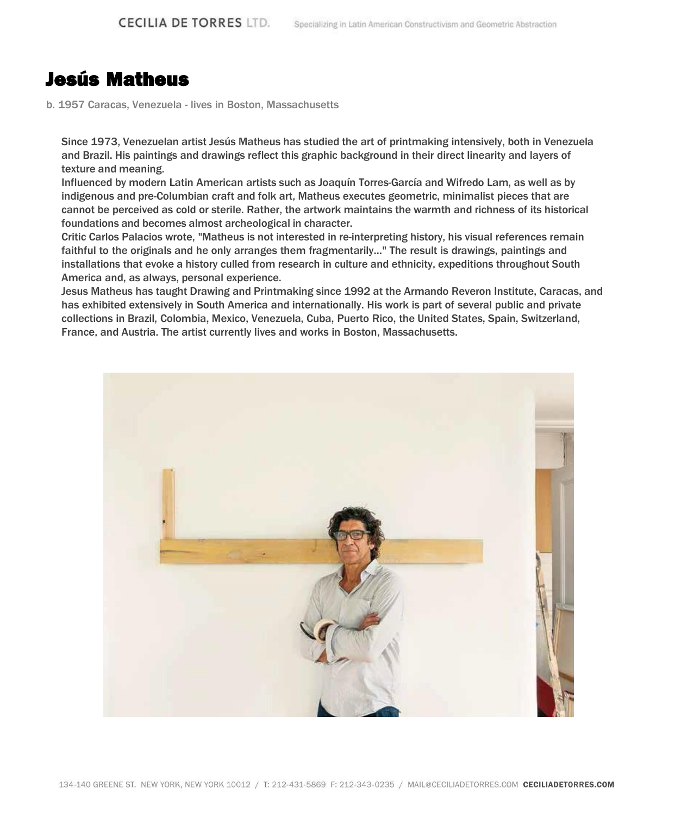## Jesús Matheus

b. 1957 Caracas, Venezuela - lives in Boston, Massachusetts

Since 1973, Venezuelan artist Jesús Matheus has studied the art of printmaking intensively, both in Venezuela and Brazil. His paintings and drawings reflect this graphic background in their direct linearity and layers of texture and meaning.

Influenced by modern Latin American artists such as Joaquín Torres-García and Wifredo Lam, as well as by indigenous and pre-Columbian craft and folk art, Matheus executes geometric, minimalist pieces that are cannot be perceived as cold or sterile. Rather, the artwork maintains the warmth and richness of its historical foundations and becomes almost archeological in character.

Critic Carlos Palacios wrote, "Matheus is not interested in re-interpreting history, his visual references remain faithful to the originals and he only arranges them fragmentarily…" The result is drawings, paintings and installations that evoke a history culled from research in culture and ethnicity, expeditions throughout South America and, as always, personal experience.

Jesus Matheus has taught Drawing and Printmaking since 1992 at the Armando Reveron Institute, Caracas, and has exhibited extensively in South America and internationally. His work is part of several public and private collections in Brazil, Colombia, Mexico, Venezuela, Cuba, Puerto Rico, the United States, Spain, Switzerland, France, and Austria. The artist currently lives and works in Boston, Massachusetts.

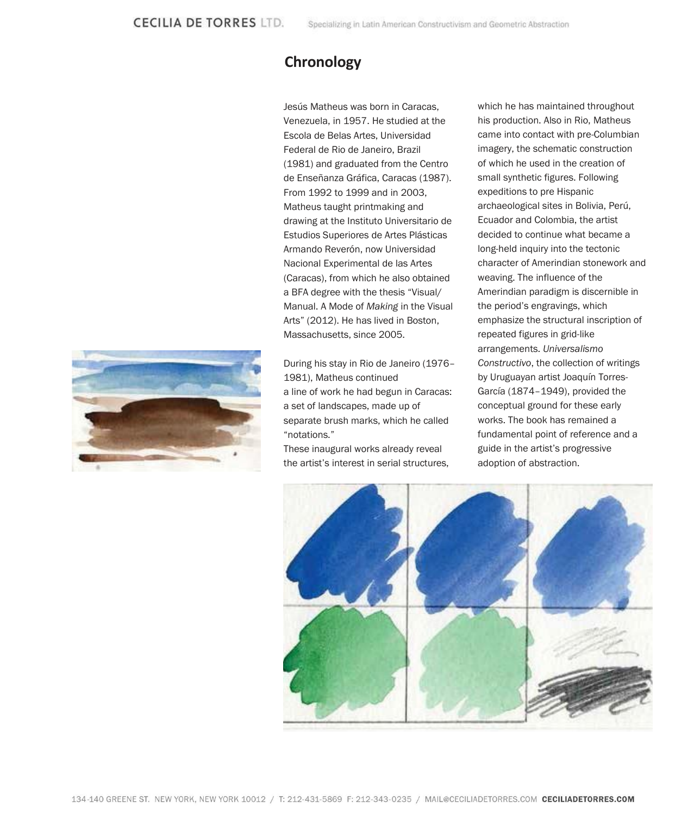## **Chronology**

Jesús Matheus was born in Caracas, Venezuela, in 1957. He studied at the Escola de Belas Artes, Universidad Federal de Rio de Janeiro, Brazil (1981) and graduated from the Centro de Enseñanza Gráfica, Caracas (1987). From 1992 to 1999 and in 2003, Matheus taught printmaking and drawing at the Instituto Universitario de Estudios Superiores de Artes Plásticas Armando Reverón, now Universidad Nacional Experimental de las Artes (Caracas), from which he also obtained a BFA degree with the thesis "Visual/ Manual. A Mode of *Making* in the Visual Arts" (2012). He has lived in Boston, Massachusetts, since 2005.

During his stay in Rio de Janeiro (1976– 1981), Matheus continued a line of work he had begun in Caracas: a set of landscapes, made up of separate brush marks, which he called "notations."

These inaugural works already reveal the artist's interest in serial structures, which he has maintained throughout his production. Also in Rio, Matheus came into contact with pre-Columbian imagery, the schematic construction of which he used in the creation of small synthetic figures. Following expeditions to pre Hispanic archaeological sites in Bolivia, Perú, Ecuador and Colombia, the artist decided to continue what became a long-held inquiry into the tectonic character of Amerindian stonework and weaving. The influence of the Amerindian paradigm is discernible in the period's engravings, which emphasize the structural inscription of repeated figures in grid-like arrangements. *Universalismo Constructivo*, the collection of writings by Uruguayan artist Joaquín Torres-García (1874–1949), provided the conceptual ground for these early works. The book has remained a fundamental point of reference and a guide in the artist's progressive adoption of abstraction.



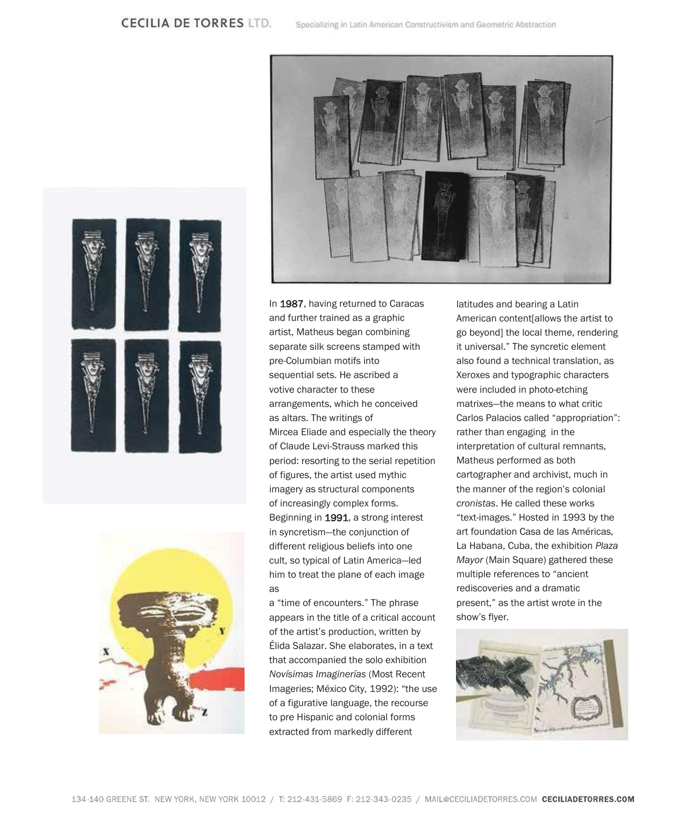## **CECILIA DE TORRES LTD.**







In 1987, having returned to Caracas and further trained as a graphic artist, Matheus began combining separate silk screens stamped with pre-Columbian motifs into sequential sets. He ascribed a votive character to these arrangements, which he conceived as altars. The writings of Mircea Eliade and especially the theory of Claude Levi-Strauss marked this period: resorting to the serial repetition of figures, the artist used mythic imagery as structural components of increasingly complex forms. Beginning in 1991, a strong interest in syncretism—the conjunction of different religious beliefs into one cult, so typical of Latin America—led him to treat the plane of each image as

a "time of encounters." The phrase appears in the title of a critical account of the artist's production, written by Élida Salazar. She elaborates, in a text that accompanied the solo exhibition *Novísimas Imaginerías* (Most Recent Imageries; México City, 1992): "the use of a figurative language, the recourse to pre Hispanic and colonial forms extracted from markedly different

latitudes and bearing a Latin American content[allows the artist to go beyond] the local theme, rendering it universal." The syncretic element also found a technical translation, as Xeroxes and typographic characters were included in photo-etching matrixes—the means to what critic Carlos Palacios called "appropriation": rather than engaging in the interpretation of cultural remnants, Matheus performed as both cartographer and archivist, much in the manner of the region's colonial *cronistas*. He called these works "text-images." Hosted in 1993 by the art foundation Casa de las Américas, La Habana, Cuba, the exhibition *Plaza Mayor* (Main Square) gathered these multiple references to "ancient rediscoveries and a dramatic present," as the artist wrote in the show's flyer.

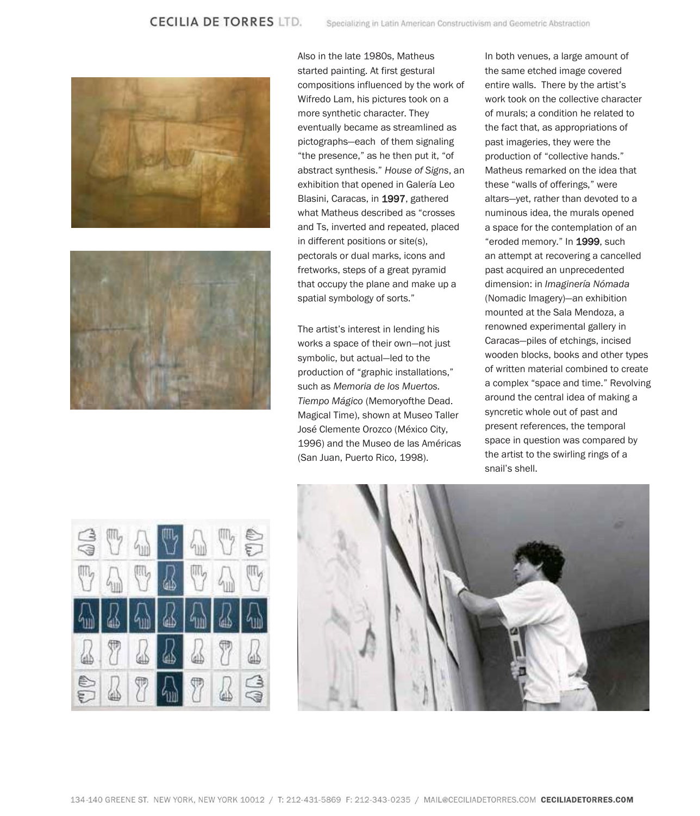



Also in the late 1980s, Matheus started painting. At first gestural compositions influenced by the work of Wifredo Lam, his pictures took on a more synthetic character. They eventually became as streamlined as pictographs—each of them signaling "the presence," as he then put it, "of abstract synthesis." *House of Signs*, an exhibition that opened in Galería Leo Blasini, Caracas, in 1997, gathered what Matheus described as "crosses and Ts, inverted and repeated, placed in different positions or site(s), pectorals or dual marks, icons and fretworks, steps of a great pyramid that occupy the plane and make up a spatial symbology of sorts."

The artist's interest in lending his works a space of their own—not just symbolic, but actual—led to the production of "graphic installations," such as *Memoria de los Muertos. Tiempo Mágico* (Memoryofthe Dead. Magical Time), shown at Museo Taller José Clemente Orozco (México City, 1996) and the Museo de las Américas (San Juan, Puerto Rico, 1998).

In both venues, a large amount of the same etched image covered entire walls. There by the artist's work took on the collective character of murals; a condition he related to the fact that, as appropriations of past imageries, they were the production of "collective hands." Matheus remarked on the idea that these "walls of offerings," were altars—yet, rather than devoted to a numinous idea, the murals opened a space for the contemplation of an "eroded memory." In 1999, such an attempt at recovering a cancelled past acquired an unprecedented dimension: in *Imaginería Nómada*  (Nomadic Imagery)—an exhibition mounted at the Sala Mendoza, a renowned experimental gallery in Caracas—piles of etchings, incised wooden blocks, books and other types of written material combined to create a complex "space and time." Revolving around the central idea of making a syncretic whole out of past and present references, the temporal space in question was compared by the artist to the swirling rings of a snail's shell.



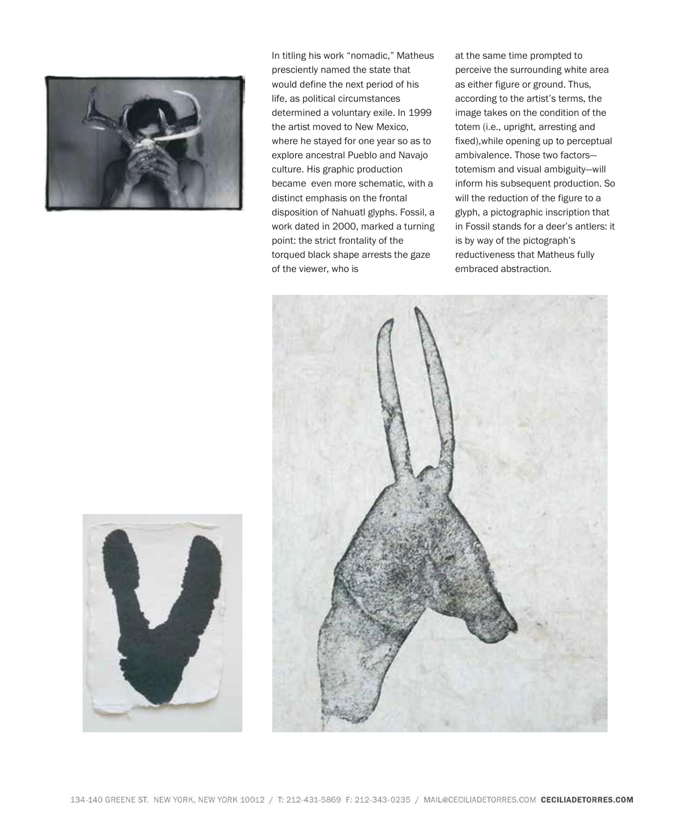

In titling his work "nomadic," Matheus presciently named the state that would define the next period of his life, as political circumstances determined a voluntary exile. In 1999 the artist moved to New Mexico, where he stayed for one year so as to explore ancestral Pueblo and Navajo culture. His graphic production became even more schematic, with a distinct emphasis on the frontal disposition of Nahuatl glyphs. Fossil, a work dated in 2000, marked a turning point: the strict frontality of the torqued black shape arrests the gaze of the viewer, who is

at the same time prompted to perceive the surrounding white area as either figure or ground. Thus, according to the artist's terms, the image takes on the condition of the totem (i.e., upright, arresting and fixed),while opening up to perceptual ambivalence. Those two factors totemism and visual ambiguity—will inform his subsequent production. So will the reduction of the figure to a glyph, a pictographic inscription that in Fossil stands for a deer's antlers: it is by way of the pictograph's reductiveness that Matheus fully embraced abstraction.



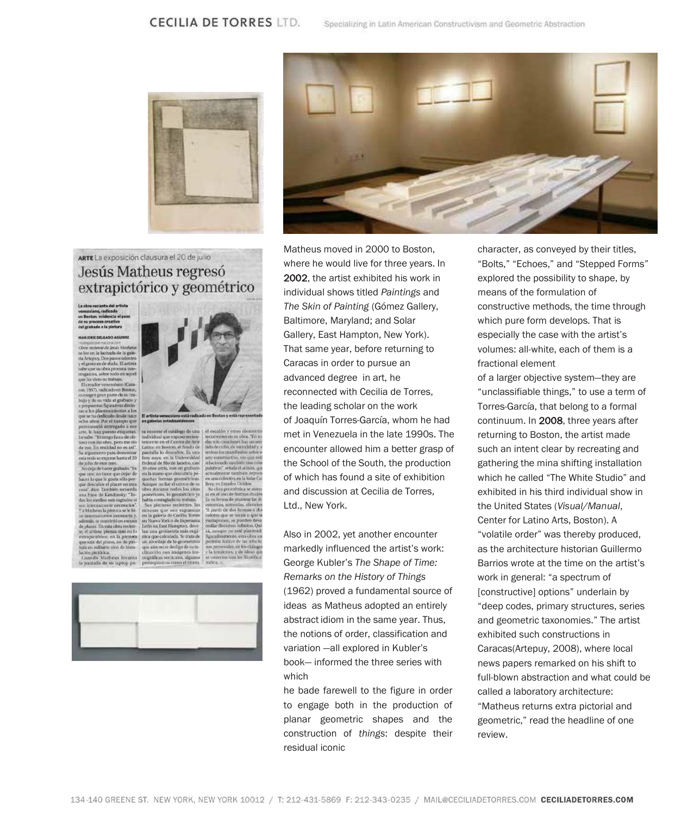



## ARTE La exposición clausura el 20 de julio Jesús Matheus regresó extrapictórico y geométrico

r el catálogo de una

predescubria pe-<br>sas geométricas en la mano que dese fue el centro de su<br>un rodos los años

mpton, dove

el escalón y otros ele

pulabras", señala el a

et escapin y otros quincin<br>recurrentes en su obra. Ten s<br>das reis concioues hay saven<br>tida de culto, de sacraïshal y revisus los manifestos sobr

La obra reciente del artista venezolano, radicado<br>en Boston, evidencia el paso ieso creativo<br>lo a la pintura

reciente de Jesús Motheus<br>ser la fachacia de la gale-<br>encreuy. Dos pasos odentro<br>cesto es de duda. El artista<br>que su obra procesa inte-<br>musa, sobre todo en aquel mador v no (Cam 1957), radicado en Bosto grò gran parte de su tr<br>de su vida al grabado r ha dedicado desde hace<br>años. Por el terrapo que<br>amordó entrogado a ese<br>le han puesto etiquetes<br>be. "Di tempo lana" pero no ese así"<br>com mi obre, pero no ese así"<br>gamento pam demostrar ra movima el cutálogo de una individual que expusó reclea<br>tenente en el Centro de Arie tenente en el Centro de Arie<br>Latino en Boston, es fondo de paratalla lo descubre. En una paratal<br>Foto saya, en la Universidad Federal un orenotus julio de este mes.<br>lo deja de hacer grahado. "Es

courge de naver granden - ra<br>e cer lo que le gusta séla de descubre el placer en otra<br>e descubre el placer en otra<br>sa", dice. También secuenta<br>a frase de Kandinsky. "To-



Coando Matheus levanta | nográficas veriícales algunos<br>la pantalla de su japtop pa- | prehispánicos como el tótem



Matheus moved in 2000 to Boston, where he would live for three years. In 2002, the artist exhibited his work in individual shows titled *Paintings* and *The Skin of Painting* (Gómez Gallery, Baltimore, Maryland; and Solar Gallery, East Hampton, New York). That same year, before returning to Caracas in order to pursue an advanced degree in art, he reconnected with Cecilia de Torres, the leading scholar on the work of Joaquín Torres-García, whom he had met in Venezuela in the late 1990s. The encounter allowed him a better grasp of the School of the South, the production of which has found a site of exhibition and discussion at Cecilia de Torres, Ltd., New York.

Also in 2002, yet another encounter markedly influenced the artist's work: George Kubler's *The Shape of Time: Remarks on the History of Things*  (1962) proved a fundamental source of ideas as Matheus adopted an entirely abstract idiom in the same year. Thus, the notions of order, classification and variation —all explored in Kubler's book— informed the three series with which

he bade farewell to the figure in order to engage both in the production of planar geometric shapes and the construction of *things*: despite their residual iconic

character, as conveyed by their titles, "Bolts," "Echoes," and "Stepped Forms" explored the possibility to shape, by means of the formulation of constructive methods, the time through which pure form develops. That is especially the case with the artist's volumes: all-white, each of them is a fractional element

of a larger objective system—they are "unclassifiable things," to use a term of Torres-García, that belong to a formal continuum. In 2008, three years after returning to Boston, the artist made such an intent clear by recreating and gathering the mina shifting installation which he called "The White Studio" and exhibited in his third individual show in the United States (*Visual/Manual*, Center for Latino Arts, Boston). A "volatile order" was thereby produced, as the architecture historian Guillermo Barrios wrote at the time on the artist's work in general: "a spectrum of [constructive] options" underlain by "deep codes, primary structures, series and geometric taxonomies." The artist exhibited such constructions in Caracas(Artepuy, 2008), where local news papers remarked on his shift to full-blown abstraction and what could be called a laboratory architecture: "Matheus returns extra pictorial and geometric," read the headline of one review.

134-140 GREENE ST. NEW YORK, NEW YORK 10012 / T: 212-431-5869 F: 212-343-0235 / MAIL@CECILIADETORRES.COM CECILIADETORRES.COM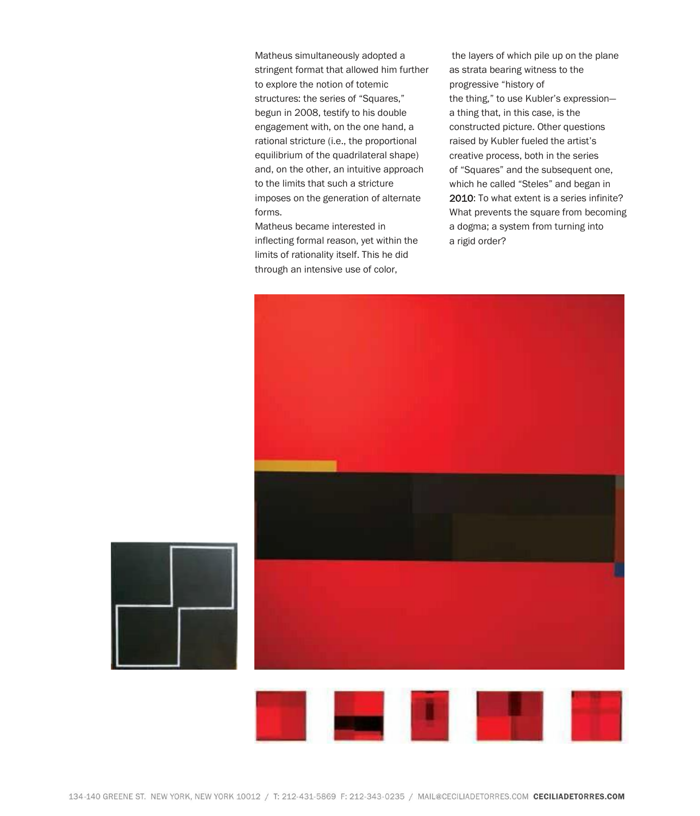Matheus simultaneously adopted a stringent format that allowed him further to explore the notion of totemic structures: the series of "Squares," begun in 2008, testify to his double engagement with, on the one hand, a rational stricture (i.e., the proportional equilibrium of the quadrilateral shape) and, on the other, an intuitive approach to the limits that such a stricture imposes on the generation of alternate forms.

Matheus became interested in inflecting formal reason, yet within the limits of rationality itself. This he did through an intensive use of color,

the layers of which pile up on the plane as strata bearing witness to the progressive "history of the thing," to use Kubler's expression a thing that, in this case, is the constructed picture. Other questions raised by Kubler fueled the artist's creative process, both in the series of "Squares" and the subsequent one, which he called "Steles" and began in 2010: To what extent is a series infinite? What prevents the square from becoming a dogma; a system from turning into a rigid order?